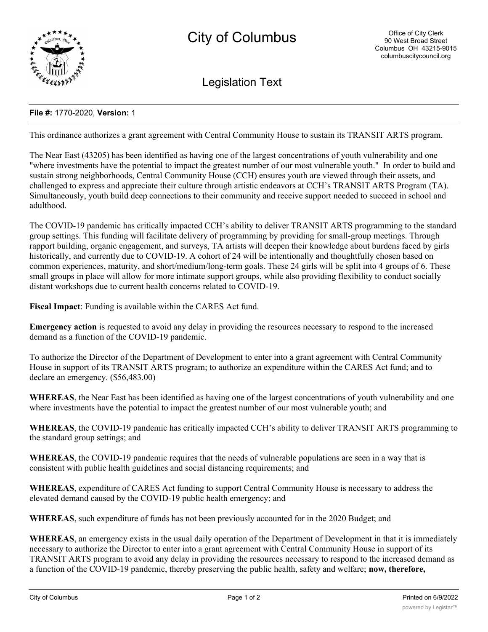

Legislation Text

## **File #:** 1770-2020, **Version:** 1

This ordinance authorizes a grant agreement with Central Community House to sustain its TRANSIT ARTS program.

The Near East (43205) has been identified as having one of the largest concentrations of youth vulnerability and one "where investments have the potential to impact the greatest number of our most vulnerable youth." In order to build and sustain strong neighborhoods, Central Community House (CCH) ensures youth are viewed through their assets, and challenged to express and appreciate their culture through artistic endeavors at CCH's TRANSIT ARTS Program (TA). Simultaneously, youth build deep connections to their community and receive support needed to succeed in school and adulthood.

The COVID-19 pandemic has critically impacted CCH's ability to deliver TRANSIT ARTS programming to the standard group settings. This funding will facilitate delivery of programming by providing for small-group meetings. Through rapport building, organic engagement, and surveys, TA artists will deepen their knowledge about burdens faced by girls historically, and currently due to COVID-19. A cohort of 24 will be intentionally and thoughtfully chosen based on common experiences, maturity, and short/medium/long-term goals. These 24 girls will be split into 4 groups of 6. These small groups in place will allow for more intimate support groups, while also providing flexibility to conduct socially distant workshops due to current health concerns related to COVID-19.

**Fiscal Impact**: Funding is available within the CARES Act fund.

**Emergency action** is requested to avoid any delay in providing the resources necessary to respond to the increased demand as a function of the COVID-19 pandemic.

To authorize the Director of the Department of Development to enter into a grant agreement with Central Community House in support of its TRANSIT ARTS program; to authorize an expenditure within the CARES Act fund; and to declare an emergency. (\$56,483.00)

**WHEREAS**, the Near East has been identified as having one of the largest concentrations of youth vulnerability and one where investments have the potential to impact the greatest number of our most vulnerable youth; and

**WHEREAS**, the COVID-19 pandemic has critically impacted CCH's ability to deliver TRANSIT ARTS programming to the standard group settings; and

**WHEREAS**, the COVID-19 pandemic requires that the needs of vulnerable populations are seen in a way that is consistent with public health guidelines and social distancing requirements; and

**WHEREAS**, expenditure of CARES Act funding to support Central Community House is necessary to address the elevated demand caused by the COVID-19 public health emergency; and

**WHEREAS**, such expenditure of funds has not been previously accounted for in the 2020 Budget; and

**WHEREAS**, an emergency exists in the usual daily operation of the Department of Development in that it is immediately necessary to authorize the Director to enter into a grant agreement with Central Community House in support of its TRANSIT ARTS program to avoid any delay in providing the resources necessary to respond to the increased demand as a function of the COVID-19 pandemic, thereby preserving the public health, safety and welfare; **now, therefore,**